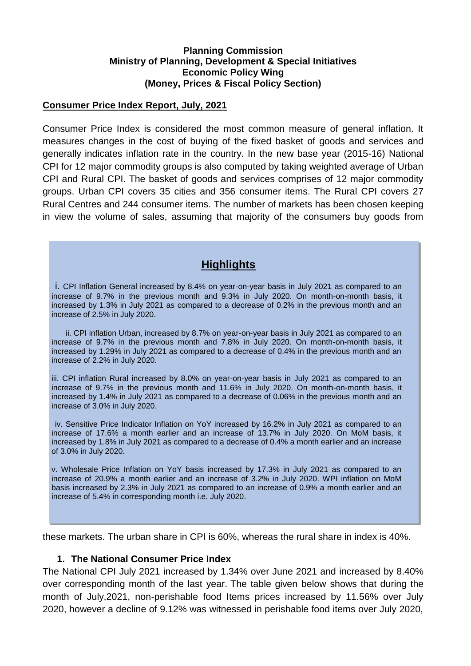#### **Planning Commission Ministry of Planning, Development & Special Initiatives Economic Policy Wing (Money, Prices & Fiscal Policy Section)**

#### **Consumer Price Index Report, July, 2021**

Consumer Price Index is considered the most common measure of general inflation. It measures changes in the cost of buying of the fixed basket of goods and services and generally indicates inflation rate in the country. In the new base year (2015-16) National CPI for 12 major commodity groups is also computed by taking weighted average of Urban CPI and Rural CPI. The basket of goods and services comprises of 12 major commodity groups. Urban CPI covers 35 cities and 356 consumer items. The Rural CPI covers 27 Rural Centres and 244 consumer items. The number of markets has been chosen keeping in view the volume of sales, assuming that majority of the consumers buy goods from

# **Highlights**

i. CPI Inflation General increased by 8.4% on year-on-year basis in July 2021 as compared to an increase of 9.7% in the previous month and 9.3% in July 2020. On month-on-month basis, it increased by 1.3% in July 2021 as compared to a decrease of 0.2% in the previous month and an increase of 2.5% in July 2020.

ii. CPI inflation Urban, increased by 8.7% on year-on-year basis in July 2021 as compared to an increase of 9.7% in the previous month and 7.8% in July 2020. On month-on-month basis, it increased by 1.29% in July 2021 as compared to a decrease of 0.4% in the previous month and an increase of 2.2% in July 2020.

iii. CPI inflation Rural increased by 8.0% on year-on-year basis in July 2021 as compared to an increase of 9.7% in the previous month and 11.6% in July 2020. On month-on-month basis, it increased by 1.4% in July 2021 as compared to a decrease of 0.06% in the previous month and an increase of 3.0% in July 2020.

iv. Sensitive Price Indicator Inflation on YoY increased by 16.2% in July 2021 as compared to an increase of 17.6% a month earlier and an increase of 13.7% in July 2020. On MoM basis, it increased by 1.8% in July 2021 as compared to a decrease of 0.4% a month earlier and an increase of 3.0% in July 2020.

v. Wholesale Price Inflation on YoY basis increased by 17.3% in July 2021 as compared to an increase of 20.9% a month earlier and an increase of 3.2% in July 2020. WPI inflation on MoM basis increased by 2.3% in July 2021 as compared to an increase of 0.9% a month earlier and an increase of 5.4% in corresponding month i.e. July 2020.

these markets. The urban share in CPI is 60%, whereas the rural share in index is 40%.

### **1. The National Consumer Price Index**

The National CPI July 2021 increased by 1.34% over June 2021 and increased by 8.40% over corresponding month of the last year. The table given below shows that during the month of July,2021, non-perishable food Items prices increased by 11.56% over July 2020, however a decline of 9.12% was witnessed in perishable food items over July 2020,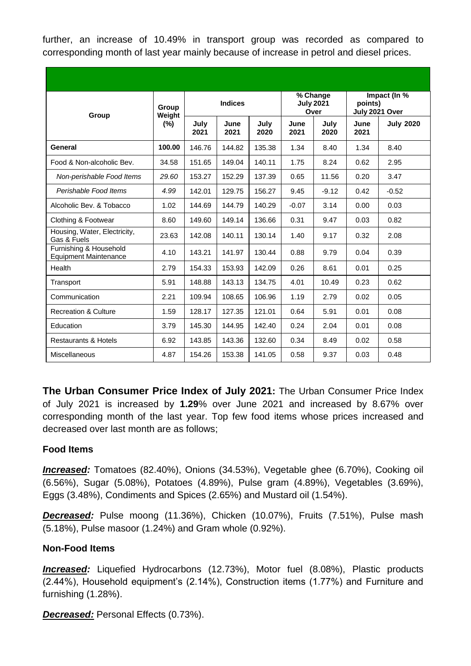further, an increase of 10.49% in transport group was recorded as compared to corresponding month of last year mainly because of increase in petrol and diesel prices.

| Group                                                  | Group<br>Weight<br>$(\% )$ | <b>Indices</b> |              |              | % Change<br><b>July 2021</b><br>Over |              | Impact (In %<br>points)<br>July 2021 Over |                  |
|--------------------------------------------------------|----------------------------|----------------|--------------|--------------|--------------------------------------|--------------|-------------------------------------------|------------------|
|                                                        |                            | July<br>2021   | June<br>2021 | July<br>2020 | June<br>2021                         | July<br>2020 | June<br>2021                              | <b>July 2020</b> |
| General                                                | 100.00                     | 146.76         | 144.82       | 135.38       | 1.34                                 | 8.40         | 1.34                                      | 8.40             |
| Food & Non-alcoholic Bev.                              | 34.58                      | 151.65         | 149.04       | 140.11       | 1.75                                 | 8.24         | 0.62                                      | 2.95             |
| Non-perishable Food Items                              | 29.60                      | 153.27         | 152.29       | 137.39       | 0.65                                 | 11.56        | 0.20                                      | 3.47             |
| Perishable Food Items                                  | 4.99                       | 142.01         | 129.75       | 156.27       | 9.45                                 | $-9.12$      | 0.42                                      | $-0.52$          |
| Alcoholic Bev. & Tobacco                               | 1.02                       | 144.69         | 144.79       | 140.29       | $-0.07$                              | 3.14         | 0.00                                      | 0.03             |
| Clothing & Footwear                                    | 8.60                       | 149.60         | 149.14       | 136.66       | 0.31                                 | 9.47         | 0.03                                      | 0.82             |
| Housing, Water, Electricity,<br>Gas & Fuels            | 23.63                      | 142.08         | 140.11       | 130.14       | 1.40                                 | 9.17         | 0.32                                      | 2.08             |
| Furnishing & Household<br><b>Equipment Maintenance</b> | 4.10                       | 143.21         | 141.97       | 130.44       | 0.88                                 | 9.79         | 0.04                                      | 0.39             |
| Health                                                 | 2.79                       | 154.33         | 153.93       | 142.09       | 0.26                                 | 8.61         | 0.01                                      | 0.25             |
| Transport                                              | 5.91                       | 148.88         | 143.13       | 134.75       | 4.01                                 | 10.49        | 0.23                                      | 0.62             |
| Communication                                          | 2.21                       | 109.94         | 108.65       | 106.96       | 1.19                                 | 2.79         | 0.02                                      | 0.05             |
| <b>Recreation &amp; Culture</b>                        | 1.59                       | 128.17         | 127.35       | 121.01       | 0.64                                 | 5.91         | 0.01                                      | 0.08             |
| Education                                              | 3.79                       | 145.30         | 144.95       | 142.40       | 0.24                                 | 2.04         | 0.01                                      | 0.08             |
| <b>Restaurants &amp; Hotels</b>                        | 6.92                       | 143.85         | 143.36       | 132.60       | 0.34                                 | 8.49         | 0.02                                      | 0.58             |
| Miscellaneous                                          | 4.87                       | 154.26         | 153.38       | 141.05       | 0.58                                 | 9.37         | 0.03                                      | 0.48             |

**The Urban Consumer Price Index of July 2021:** The Urban Consumer Price Index of July 2021 is increased by **1.29**% over June 2021 and increased by 8.67% over corresponding month of the last year. Top few food items whose prices increased and decreased over last month are as follows;

### **Food Items**

*Increased:* Tomatoes (82.40%), Onions (34.53%), Vegetable ghee (6.70%), Cooking oil (6.56%), Sugar (5.08%), Potatoes (4.89%), Pulse gram (4.89%), Vegetables (3.69%), Eggs (3.48%), Condiments and Spices (2.65%) and Mustard oil (1.54%).

*Decreased:* Pulse moong (11.36%), Chicken (10.07%), Fruits (7.51%), Pulse mash (5.18%), Pulse masoor (1.24%) and Gram whole (0.92%).

#### **Non-Food Items**

*Increased:* Liquefied Hydrocarbons (12.73%), Motor fuel (8.08%), Plastic products (2.44%), Household equipment's (2.14%), Construction items (1.77%) and Furniture and furnishing (1.28%).

*Decreased:* Personal Effects (0.73%).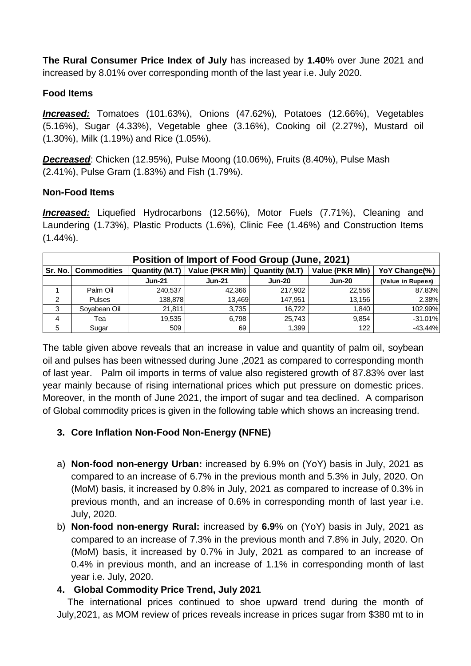**The Rural Consumer Price Index of July** has increased by **1.40**% over June 2021 and increased by 8.01% over corresponding month of the last year i.e. July 2020.

### **Food Items**

*Increased:* Tomatoes (101.63%), Onions (47.62%), Potatoes (12.66%), Vegetables (5.16%), Sugar (4.33%), Vegetable ghee (3.16%), Cooking oil (2.27%), Mustard oil (1.30%), Milk (1.19%) and Rice (1.05%).

*Decreased*: Chicken (12.95%), Pulse Moong (10.06%), Fruits (8.40%), Pulse Mash (2.41%), Pulse Gram (1.83%) and Fish (1.79%).

### **Non-Food Items**

*Increased:* Liquefied Hydrocarbons (12.56%), Motor Fuels (7.71%), Cleaning and Laundering (1.73%), Plastic Products (1.6%), Clinic Fee (1.46%) and Construction Items  $(1.44\%)$ .

| Position of Import of Food Group (June, 2021) |                              |                |                 |                       |                 |                   |  |  |
|-----------------------------------------------|------------------------------|----------------|-----------------|-----------------------|-----------------|-------------------|--|--|
|                                               | <b>Sr. No.   Commodities</b> | Quantity (M.T) | Value (PKR MIn) | <b>Quantity (M.T)</b> | Value (PKR Mln) | YoY Change(%)     |  |  |
|                                               |                              | <b>Jun-21</b>  | <b>Jun-21</b>   | <b>Jun-20</b>         | <b>Jun-20</b>   | (Value in Rupees) |  |  |
|                                               | Palm Oil                     | 240,537        | 42,366          | 217,902               | 22.556          | 87.83%            |  |  |
| 2                                             | <b>Pulses</b>                | 138,878        | 13,469          | 147.951               | 13,156          | 2.38%             |  |  |
| 3                                             | Soyabean Oil                 | 21,811         | 3,735           | 16.722                | 1,840           | 102.99%           |  |  |
| $\overline{4}$                                | Tea                          | 19.535         | 6.798           | 25.743                | 9.854           | $-31.01%$         |  |  |
| 5                                             | Sugar                        | 509            | 69              | 1,399                 | 122             | $-43.44%$         |  |  |

The table given above reveals that an increase in value and quantity of palm oil, soybean oil and pulses has been witnessed during June ,2021 as compared to corresponding month of last year. Palm oil imports in terms of value also registered growth of 87.83% over last year mainly because of rising international prices which put pressure on domestic prices. Moreover, in the month of June 2021, the import of sugar and tea declined. A comparison of Global commodity prices is given in the following table which shows an increasing trend.

# **3. Core Inflation Non-Food Non-Energy (NFNE)**

- a) **Non-food non-energy Urban:** increased by 6.9% on (YoY) basis in July, 2021 as compared to an increase of 6.7% in the previous month and 5.3% in July, 2020. On (MoM) basis, it increased by 0.8% in July, 2021 as compared to increase of 0.3% in previous month, and an increase of 0.6% in corresponding month of last year i.e. July, 2020.
- b) **Non-food non-energy Rural:** increased by **6.9**% on (YoY) basis in July, 2021 as compared to an increase of 7.3% in the previous month and 7.8% in July, 2020. On (MoM) basis, it increased by 0.7% in July, 2021 as compared to an increase of 0.4% in previous month, and an increase of 1.1% in corresponding month of last year i.e. July, 2020.

# **4. Global Commodity Price Trend, July 2021**

 The international prices continued to shoe upward trend during the month of July,2021, as MOM review of prices reveals increase in prices sugar from \$380 mt to in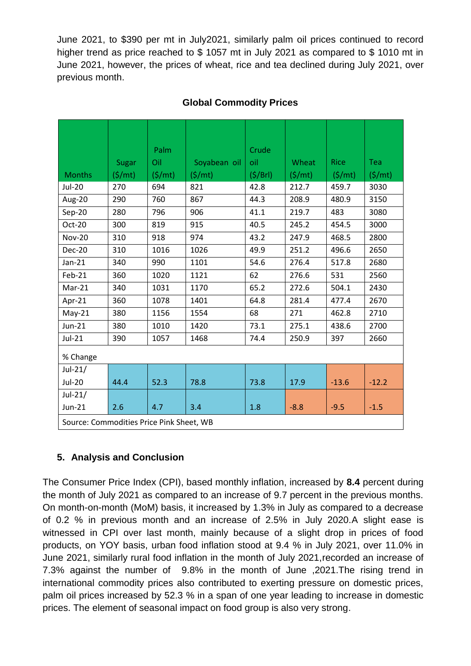June 2021, to \$390 per mt in July2021, similarly palm oil prices continued to record higher trend as price reached to \$1057 mt in July 2021 as compared to \$1010 mt in June 2021, however, the prices of wheat, rice and tea declined during July 2021, over previous month.

|                                          |               | Palm             |              | Crude   |                     |                  |                  |  |
|------------------------------------------|---------------|------------------|--------------|---------|---------------------|------------------|------------------|--|
|                                          | Sugar         | Oil              | Soyabean oil | oil     | Wheat               | <b>Rice</b>      | Tea              |  |
| <b>Months</b>                            | $($ \$/mt $)$ | $(\frac{\xi}{m}$ | (S/mt)       | (S/Brl) | $(\frac{\xi}{m}$ t) | $(\frac{\xi}{m}$ | $(\frac{\xi}{m}$ |  |
| <b>Jul-20</b>                            | 270           | 694              | 821          | 42.8    | 212.7               | 459.7            | 3030             |  |
| Aug-20                                   | 290           | 760              | 867          | 44.3    | 208.9               | 480.9            | 3150             |  |
| $Sep-20$                                 | 280           | 796              | 906          | 41.1    | 219.7               | 483              | 3080             |  |
| Oct-20                                   | 300           | 819              | 915          | 40.5    | 245.2               | 454.5            | 3000             |  |
| <b>Nov-20</b>                            | 310           | 918              | 974          | 43.2    | 247.9               | 468.5            | 2800             |  |
| Dec-20                                   | 310           | 1016             | 1026         | 49.9    | 251.2               | 496.6            | 2650             |  |
| $Jan-21$                                 | 340           | 990              | 1101         | 54.6    | 276.4               | 517.8            | 2680             |  |
| Feb-21                                   | 360           | 1020             | 1121         | 62      | 276.6               | 531              | 2560             |  |
| Mar-21                                   | 340           | 1031             | 1170         | 65.2    | 272.6               | 504.1            | 2430             |  |
| Apr-21                                   | 360           | 1078             | 1401         | 64.8    | 281.4               | 477.4            | 2670             |  |
| $May-21$                                 | 380           | 1156             | 1554         | 68      | 271                 | 462.8            | 2710             |  |
| $Jun-21$                                 | 380           | 1010             | 1420         | 73.1    | 275.1               | 438.6            | 2700             |  |
| $Jul-21$                                 | 390           | 1057             | 1468         | 74.4    | 250.9               | 397              | 2660             |  |
| % Change                                 |               |                  |              |         |                     |                  |                  |  |
| $Jul-21/$                                |               |                  |              |         |                     |                  |                  |  |
| <b>Jul-20</b>                            | 44.4          | 52.3             | 78.8         | 73.8    | 17.9                | $-13.6$          | $-12.2$          |  |
| $Jul-21/$                                |               |                  |              |         |                     |                  |                  |  |
| Jun-21                                   | 2.6           | 4.7              | 3.4          | 1.8     | $-8.8$              | $-9.5$           | $-1.5$           |  |
| Source: Commodities Price Pink Sheet, WB |               |                  |              |         |                     |                  |                  |  |

## **Global Commodity Prices**

# **5. Analysis and Conclusion**

The Consumer Price Index (CPI), based monthly inflation, increased by **8.4** percent during the month of July 2021 as compared to an increase of 9.7 percent in the previous months. On month-on-month (MoM) basis, it increased by 1.3% in July as compared to a decrease of 0.2 % in previous month and an increase of 2.5% in July 2020.A slight ease is witnessed in CPI over last month, mainly because of a slight drop in prices of food products, on YOY basis, urban food inflation stood at 9.4 % in July 2021, over 11.0% in June 2021, similarly rural food inflation in the month of July 2021,recorded an increase of 7.3% against the number of 9.8% in the month of June ,2021.The rising trend in international commodity prices also contributed to exerting pressure on domestic prices, palm oil prices increased by 52.3 % in a span of one year leading to increase in domestic prices. The element of seasonal impact on food group is also very strong.